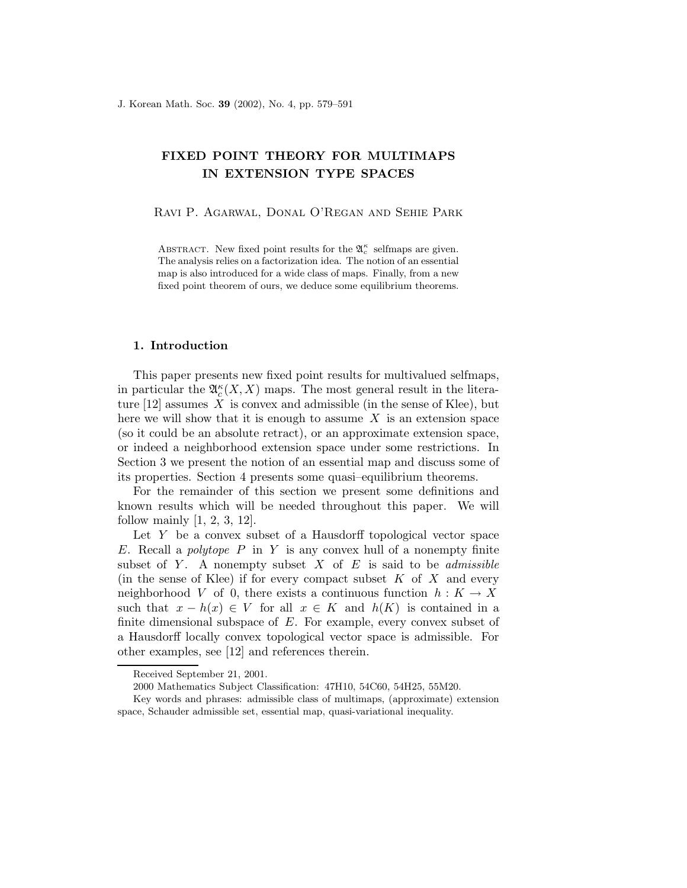# FIXED POINT THEORY FOR MULTIMAPS IN EXTENSION TYPE SPACES

Ravi P. Agarwal, Donal O'Regan and Sehie Park

ABSTRACT. New fixed point results for the  $\mathfrak{A}_{c}^{\kappa}$  selfmaps are given. The analysis relies on a factorization idea. The notion of an essential map is also introduced for a wide class of maps. Finally, from a new fixed point theorem of ours, we deduce some equilibrium theorems.

## 1. Introduction

This paper presents new fixed point results for multivalued selfmaps, in particular the  $\mathfrak{A}_{c}^{\kappa}(X,X)$  maps. The most general result in the literature  $[12]$  assumes X is convex and admissible (in the sense of Klee), but here we will show that it is enough to assume  $X$  is an extension space (so it could be an absolute retract), or an approximate extension space, or indeed a neighborhood extension space under some restrictions. In Section 3 we present the notion of an essential map and discuss some of its properties. Section 4 presents some quasi–equilibrium theorems.

For the remainder of this section we present some definitions and known results which will be needed throughout this paper. We will follow mainly  $[1, 2, 3, 12]$ .

Let Y be a convex subset of a Hausdorff topological vector space E. Recall a *polytope* P in Y is any convex hull of a nonempty finite subset of Y. A nonempty subset X of E is said to be *admissible* (in the sense of Klee) if for every compact subset  $K$  of  $X$  and every neighborhood V of 0, there exists a continuous function  $h: K \to X$ such that  $x - h(x) \in V$  for all  $x \in K$  and  $h(K)$  is contained in a finite dimensional subspace of  $E$ . For example, every convex subset of a Hausdorff locally convex topological vector space is admissible. For other examples, see [12] and references therein.

Received September 21, 2001.

<sup>2000</sup> Mathematics Subject Classification: 47H10, 54C60, 54H25, 55M20.

Key words and phrases: admissible class of multimaps, (approximate) extension space, Schauder admissible set, essential map, quasi-variational inequality.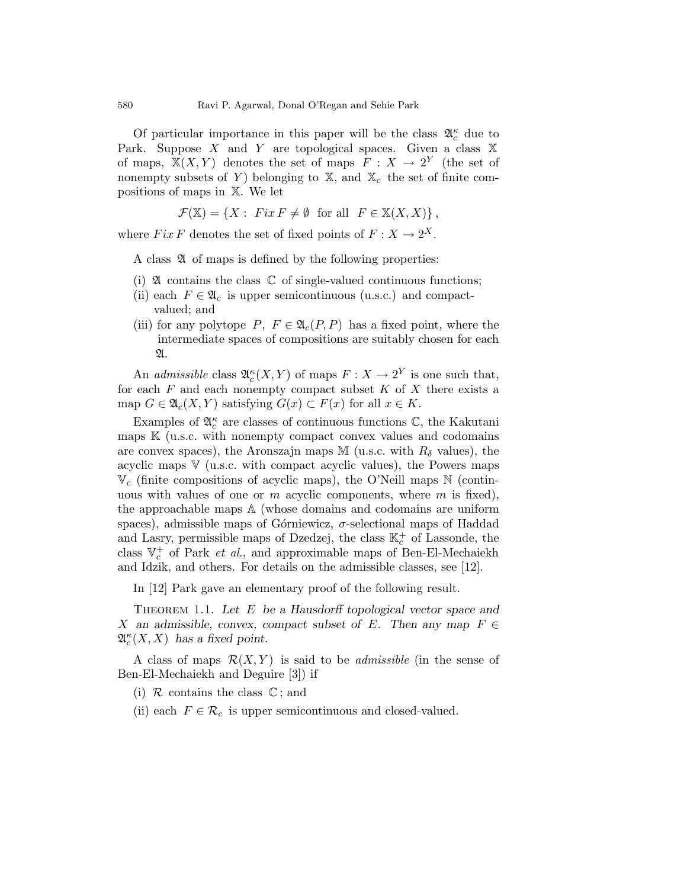Of particular importance in this paper will be the class  $\mathfrak{A}_{c}^{\kappa}$  due to Park. Suppose X and Y are topological spaces. Given a class  $X$ of maps,  $X(X, Y)$  denotes the set of maps  $F: X \to 2^Y$  (the set of nonempty subsets of Y) belonging to  $\mathbb{X}$ , and  $\mathbb{X}_c$  the set of finite compositions of maps in X. We let

$$
\mathcal{F}(\mathbb{X}) = \{ X : \text{Fix } F \neq \emptyset \text{ for all } F \in \mathbb{X}(X, X) \},
$$

where  $Fix F$  denotes the set of fixed points of  $F: X \to 2^X$ .

A class  $\mathfrak A$  of maps is defined by the following properties:

- (i)  $\mathfrak A$  contains the class  $\mathbb C$  of single-valued continuous functions;
- (ii) each  $F \in \mathfrak{A}_c$  is upper semicontinuous (u.s.c.) and compactvalued; and
- (iii) for any polytope P,  $F \in \mathfrak{A}_{c}(P, P)$  has a fixed point, where the intermediate spaces of compositions are suitably chosen for each  $\mathfrak{A}.$

An *admissible* class  $\mathfrak{A}_{c}^{\kappa}(X, Y)$  of maps  $F: X \to 2^{Y}$  is one such that, for each  $F$  and each nonempty compact subset  $K$  of  $X$  there exists a map  $G \in \mathfrak{A}_{c}(X, Y)$  satisfying  $G(x) \subset F(x)$  for all  $x \in K$ .

Examples of  $\mathfrak{A}^{\kappa}_c$  are classes of continuous functions  $\mathbb{C},$  the Kakutani maps  $K$  (u.s.c. with nonempty compact convex values and codomains are convex spaces), the Aronszajn maps M (u.s.c. with  $R_{\delta}$  values), the acyclic maps  $V$  (u.s.c. with compact acyclic values), the Powers maps  $\mathbb{V}_c$  (finite compositions of acyclic maps), the O'Neill maps N (continuous with values of one or  $m$  acyclic components, where  $m$  is fixed), the approachable maps A (whose domains and codomains are uniform spaces), admissible maps of Górniewicz,  $\sigma$ -selectional maps of Haddad and Lasry, permissible maps of Dzedzej, the class  $\mathbb{K}^+_c$  of Lassonde, the class  $\mathbb{V}_c^+$  of Park *et al.*, and approximable maps of Ben-El-Mechaiekh and Idzik, and others. For details on the admissible classes, see [12].

In [12] Park gave an elementary proof of the following result.

THEOREM 1.1. Let  $E$  be a Hausdorff topological vector space and X an admissible, convex, compact subset of E. Then any map  $F \in$  $\mathfrak{A}_{c}^{\kappa}(X,X)$  has a fixed point.

A class of maps  $\mathcal{R}(X, Y)$  is said to be *admissible* (in the sense of Ben-El-Mechaiekh and Deguire [3]) if

- (i)  $\mathcal R$  contains the class  $\mathbb C$ ; and
- (ii) each  $F \in \mathcal{R}_c$  is upper semicontinuous and closed-valued.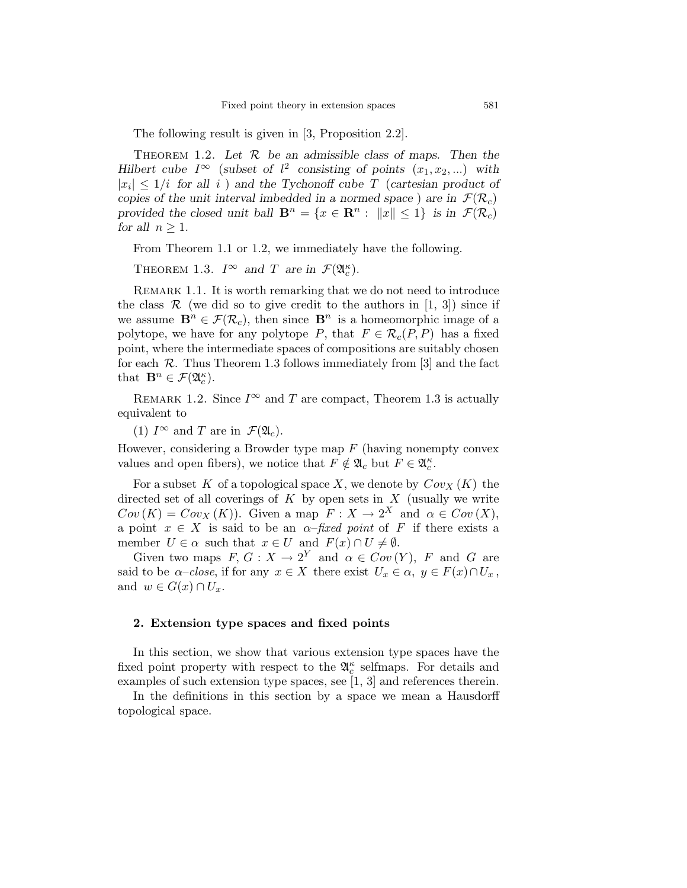The following result is given in [3, Proposition 2.2].

THEOREM 1.2. Let  $R$  be an admissible class of maps. Then the Hilbert cube  $I^{\infty}$  (subset of  $l^2$  consisting of points  $(x_1, x_2,...)$  with  $|x_i| \leq 1/i$  for all i) and the Tychonoff cube T (cartesian product of copies of the unit interval imbedded in a normed space) are in  $\mathcal{F}(\mathcal{R}_c)$ provided the closed unit ball  $\mathbf{B}^n = \{x \in \mathbf{R}^n : ||x|| \leq 1\}$  is in  $\mathcal{F}(\mathcal{R}_c)$ for all  $n > 1$ .

From Theorem 1.1 or 1.2, we immediately have the following.

THEOREM 1.3.  $I^{\infty}$  and T are in  $\mathcal{F}(\mathfrak{A}_{c}^{\kappa})$ .

REMARK 1.1. It is worth remarking that we do not need to introduce the class  $\mathcal R$  (we did so to give credit to the authors in [1, 3]) since if we assume  $\mathbf{B}^n \in \mathcal{F}(\mathcal{R}_c)$ , then since  $\mathbf{B}^n$  is a homeomorphic image of a polytope, we have for any polytope P, that  $F \in \mathcal{R}_c(P, P)$  has a fixed point, where the intermediate spaces of compositions are suitably chosen for each  $\mathcal R$ . Thus Theorem 1.3 follows immediately from [3] and the fact that  $\mathbf{B}^n \in \mathcal{F}(\mathfrak{A}_c^{\kappa}).$ 

REMARK 1.2. Since  $I^{\infty}$  and T are compact, Theorem 1.3 is actually equivalent to

(1)  $I^{\infty}$  and T are in  $\mathcal{F}(\mathfrak{A}_{c})$ .

However, considering a Browder type map  $F$  (having nonempty convex values and open fibers), we notice that  $F \notin \mathfrak{A}_c$  but  $F \in \mathfrak{A}_c^{\kappa}$ .

For a subset K of a topological space X, we denote by  $Cov_X(K)$  the directed set of all coverings of  $K$  by open sets in  $X$  (usually we write  $Cov(K) = Cov_X(K)$ . Given a map  $F: X \to 2^X$  and  $\alpha \in Cov(X)$ , a point  $x \in X$  is said to be an  $\alpha$ -fixed point of F if there exists a member  $U \in \alpha$  such that  $x \in U$  and  $F(x) \cap U \neq \emptyset$ .

Given two maps  $F, G: X \to 2^Y$  and  $\alpha \in Cov(Y), F$  and G are said to be  $\alpha$ –close, if for any  $x \in X$  there exist  $U_x \in \alpha$ ,  $y \in F(x) \cap U_x$ , and  $w \in G(x) \cap U_x$ .

### 2. Extension type spaces and fixed points

In this section, we show that various extension type spaces have the fixed point property with respect to the  $\mathfrak{A}^{\kappa}_{c}$  selfmaps. For details and examples of such extension type spaces, see [1, 3] and references therein.

In the definitions in this section by a space we mean a Hausdorff topological space.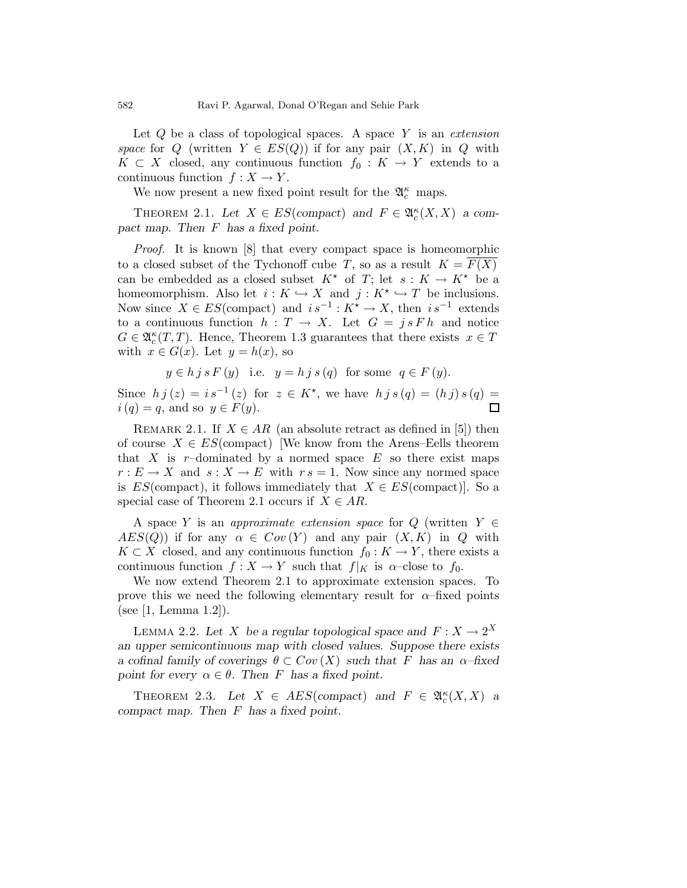Let  $Q$  be a class of topological spaces. A space  $Y$  is an extension space for Q (written  $Y \in ES(Q)$ ) if for any pair  $(X, K)$  in Q with  $K \subset X$  closed, any continuous function  $f_0: K \to Y$  extends to a continuous function  $f : X \to Y$ .

We now present a new fixed point result for the  $\mathfrak{A}^{\kappa}_c$  maps.

THEOREM 2.1. Let  $X \in ES$ (compact) and  $F \in \mathfrak{A}_{c}^{\kappa}(X,X)$  a compact map. Then F has a fixed point.

Proof. It is known [8] that every compact space is homeomorphic to a closed subset of the Tychonoff cube T, so as a result  $K = F(X)$ can be embedded as a closed subset  $K^*$  of T; let  $s: K \to K^*$  be a homeomorphism. Also let  $i: K \hookrightarrow X$  and  $j: K^* \hookrightarrow T$  be inclusions. Now since  $X \in ES(\text{compact})$  and  $is^{-1}: K^* \to X$ , then  $is^{-1}$  extends to a continuous function  $h: T \to X$ . Let  $G = j s F h$  and notice  $G \in \mathfrak{A}_{c}^{\kappa}(T,T)$ . Hence, Theorem 1.3 guarantees that there exists  $x \in T$ with  $x \in G(x)$ . Let  $y = h(x)$ , so

$$
y \in h j s F(y)
$$
 i.e.  $y = h j s (q)$  for some  $q \in F(y)$ .

Since  $h j(z) = i s^{-1}(z)$  for  $z \in K^*$ , we have  $h j s(q) = (h j) s(q) =$  $i(q) = q$ , and so  $y \in F(y)$ .  $\Box$ 

REMARK 2.1. If  $X \in AR$  (an absolute retract as defined in [5]) then of course  $X \in ES$ (compact) [We know from the Arens–Eells theorem that X is r-dominated by a normed space  $E$  so there exist maps  $r: E \to X$  and  $s: X \to E$  with  $r s = 1$ . Now since any normed space is  $ES(\text{compact})$ , it follows immediately that  $X \in ES(\text{compact})$ . So a special case of Theorem 2.1 occurs if  $X \in AR$ .

A space Y is an *approximate extension space* for  $Q$  (written  $Y \in$  $AES(Q)$  if for any  $\alpha \in Cov(Y)$  and any pair  $(X, K)$  in Q with  $K \subset X$  closed, and any continuous function  $f_0 : K \to Y$ , there exists a continuous function  $f : X \to Y$  such that  $f|_K$  is  $\alpha$ -close to  $f_0$ .

We now extend Theorem 2.1 to approximate extension spaces. To prove this we need the following elementary result for  $\alpha$ -fixed points (see [1, Lemma 1.2]).

LEMMA 2.2. Let X be a regular topological space and  $F: X \to 2^X$ an upper semicontinuous map with closed values. Suppose there exists a cofinal family of coverings  $\theta \subset Cov(X)$  such that F has an  $\alpha$ -fixed point for every  $\alpha \in \theta$ . Then F has a fixed point.

THEOREM 2.3. Let  $X \in AES$  (compact) and  $F \in \mathfrak{A}_{c}^{\kappa}(X,X)$  a compact map. Then F has a fixed point.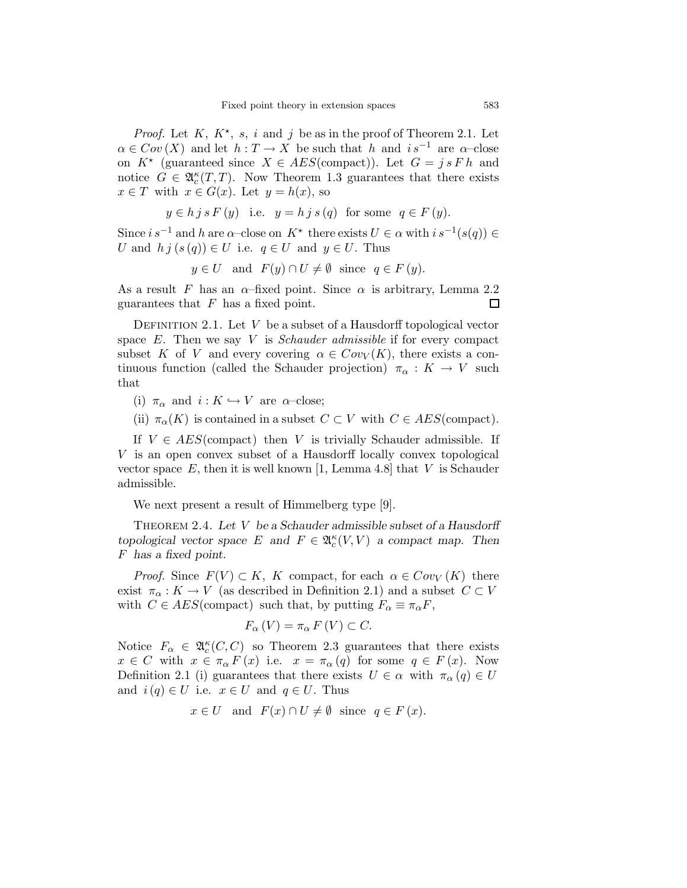*Proof.* Let  $K, K^*$ , s, i and j be as in the proof of Theorem 2.1. Let  $\alpha \in Cov(X)$  and let  $h : T \to X$  be such that h and  $is^{-1}$  are  $\alpha$ -close on  $K^*$  (guaranteed since  $X \in AES(\text{compact})$ ). Let  $G = j s F h$  and notice  $G \in \mathfrak{A}_{c}^{\kappa}(T,T)$ . Now Theorem 1.3 guarantees that there exists  $x \in T$  with  $x \in G(x)$ . Let  $y = h(x)$ , so

 $y \in h$  j s  $F(y)$  i.e.  $y = h$  j s  $(q)$  for some  $q \in F(y)$ .

Since  $i s^{-1}$  and h are  $\alpha$ -close on  $K^*$  there exists  $U \in \alpha$  with  $i s^{-1}(s(q)) \in$ U and  $h \, j \, (s \, (q)) \in U$  i.e.  $q \in U$  and  $y \in U$ . Thus

$$
y \in U
$$
 and  $F(y) \cap U \neq \emptyset$  since  $q \in F(y)$ .

As a result F has an  $\alpha$ -fixed point. Since  $\alpha$  is arbitrary, Lemma 2.2 guarantees that  $F$  has a fixed point. 口

DEFINITION 2.1. Let  $V$  be a subset of a Hausdorff topological vector space  $E$ . Then we say  $V$  is *Schauder admissible* if for every compact subset K of V and every covering  $\alpha \in Cov_V(K)$ , there exists a continuous function (called the Schauder projection)  $\pi_{\alpha}: K \to V$  such that

(i)  $\pi_{\alpha}$  and  $i: K \hookrightarrow V$  are  $\alpha$ -close;

(ii)  $\pi_{\alpha}(K)$  is contained in a subset  $C \subset V$  with  $C \in AES$  (compact).

If  $V \in AES$  (compact) then V is trivially Schauder admissible. If V is an open convex subset of a Hausdorff locally convex topological vector space  $E$ , then it is well known [1, Lemma 4.8] that  $V$  is Schauder admissible.

We next present a result of Himmelberg type [9].

THEOREM 2.4. Let V be a Schauder admissible subset of a Hausdorff topological vector space E and  $F \in \mathfrak{A}_{c}^{\kappa}(V, V)$  a compact map. Then F has a fixed point.

*Proof.* Since  $F(V) \subset K$ , K compact, for each  $\alpha \in Cov_V(K)$  there exist  $\pi_{\alpha}: K \to V$  (as described in Definition 2.1) and a subset  $C \subset V$ with  $C \in AES$ (compact) such that, by putting  $F_{\alpha} \equiv \pi_{\alpha} F$ ,

$$
F_{\alpha}(V) = \pi_{\alpha} F(V) \subset C.
$$

Notice  $F_{\alpha} \in \mathfrak{A}_{c}^{\kappa}(C, C)$  so Theorem 2.3 guarantees that there exists  $x \in C$  with  $x \in \pi_\alpha F(x)$  i.e.  $x = \pi_\alpha(q)$  for some  $q \in F(x)$ . Now Definition 2.1 (i) guarantees that there exists  $U \in \alpha$  with  $\pi_{\alpha}(q) \in U$ and  $i(q) \in U$  i.e.  $x \in U$  and  $q \in U$ . Thus

$$
x \in U
$$
 and  $F(x) \cap U \neq \emptyset$  since  $q \in F(x)$ .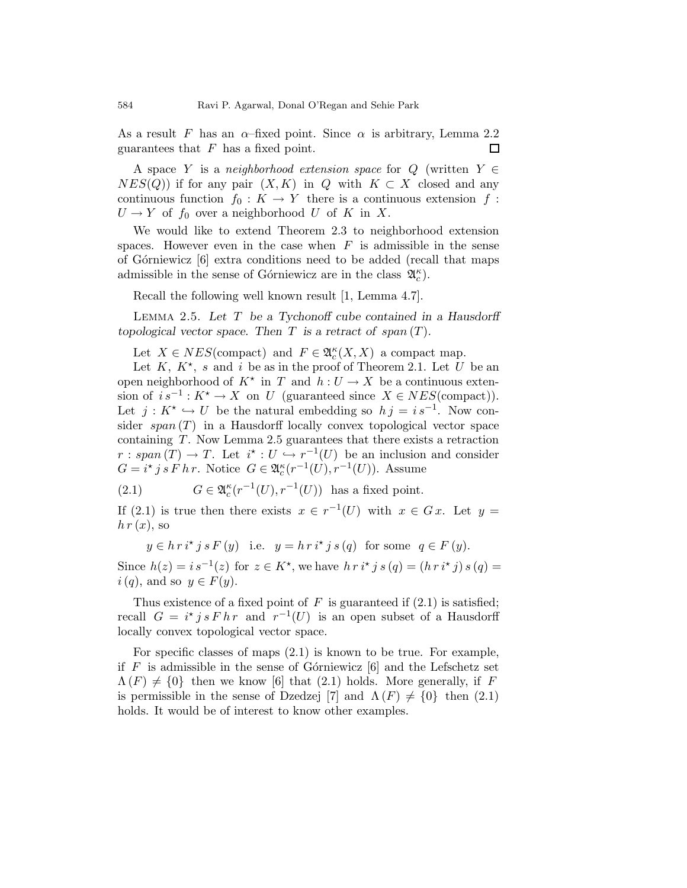As a result F has an  $\alpha$ -fixed point. Since  $\alpha$  is arbitrary, Lemma 2.2 guarantees that  $F$  has a fixed point. 口

A space Y is a neighborhood extension space for Q (written  $Y \in$  $NES(Q)$  if for any pair  $(X, K)$  in Q with  $K \subset X$  closed and any continuous function  $f_0 : K \to Y$  there is a continuous extension f:  $U \to Y$  of  $f_0$  over a neighborhood U of K in X.

We would like to extend Theorem 2.3 to neighborhood extension spaces. However even in the case when  $F$  is admissible in the sense of Górniewicz  $\left[6\right]$  extra conditions need to be added (recall that maps admissible in the sense of Górniewicz are in the class  $\mathfrak{A}_{c}^{\kappa}$ .

Recall the following well known result [1, Lemma 4.7].

LEMMA 2.5. Let  $T$  be a Tychonoff cube contained in a Hausdorff topological vector space. Then  $T$  is a retract of span  $(T)$ .

Let  $X \in NES(\text{compact})$  and  $F \in \mathfrak{A}_{c}^{\kappa}(X,X)$  a compact map.

Let  $K, K^*$ , s and i be as in the proof of Theorem 2.1. Let U be an open neighborhood of  $K^*$  in T and  $h: U \to X$  be a continuous extension of  $i s^{-1}: K^* \to X$  on U (guaranteed since  $X \in NES(\text{compact})$ ). Let  $j: K^* \hookrightarrow U$  be the natural embedding so  $h j = i s^{-1}$ . Now consider  $span(T)$  in a Hausdorff locally convex topological vector space containing T. Now Lemma 2.5 guarantees that there exists a retraction  $r: span(T) \to T$ . Let  $i^* : U \hookrightarrow r^{-1}(U)$  be an inclusion and consider  $G = i^* j s F h r$ . Notice  $G \in \mathfrak{A}_c^{\kappa}(r^{-1}(U), r^{-1}(U))$ . Assume

(2.1) 
$$
G \in \mathfrak{A}_c^{\kappa}(r^{-1}(U), r^{-1}(U)) \text{ has a fixed point.}
$$

If (2.1) is true then there exists  $x \in r^{-1}(U)$  with  $x \in Gx$ . Let  $y =$  $h r(x)$ , so

 $y \in h \, r \, i^{\star} \, j \, s \, F \left( y \right)$  i.e.  $y = h \, r \, i^{\star} \, j \, s \left( q \right)$  for some  $q \in F \left( y \right)$ .

Since  $h(z) = i s^{-1}(z)$  for  $z \in K^*$ , we have  $h r i^* j s(q) = (h r i^* j) s(q) =$  $i(q)$ , and so  $y \in F(y)$ .

Thus existence of a fixed point of F is guaranteed if  $(2.1)$  is satisfied; recall  $G = i^* j s F h r$  and  $r^{-1}(U)$  is an open subset of a Hausdorff locally convex topological vector space.

For specific classes of maps (2.1) is known to be true. For example, if  $F$  is admissible in the sense of Górniewicz [6] and the Lefschetz set  $\Lambda(F) \neq \{0\}$  then we know [6] that (2.1) holds. More generally, if F is permissible in the sense of Dzedzej [7] and  $\Lambda(F) \neq \{0\}$  then (2.1) holds. It would be of interest to know other examples.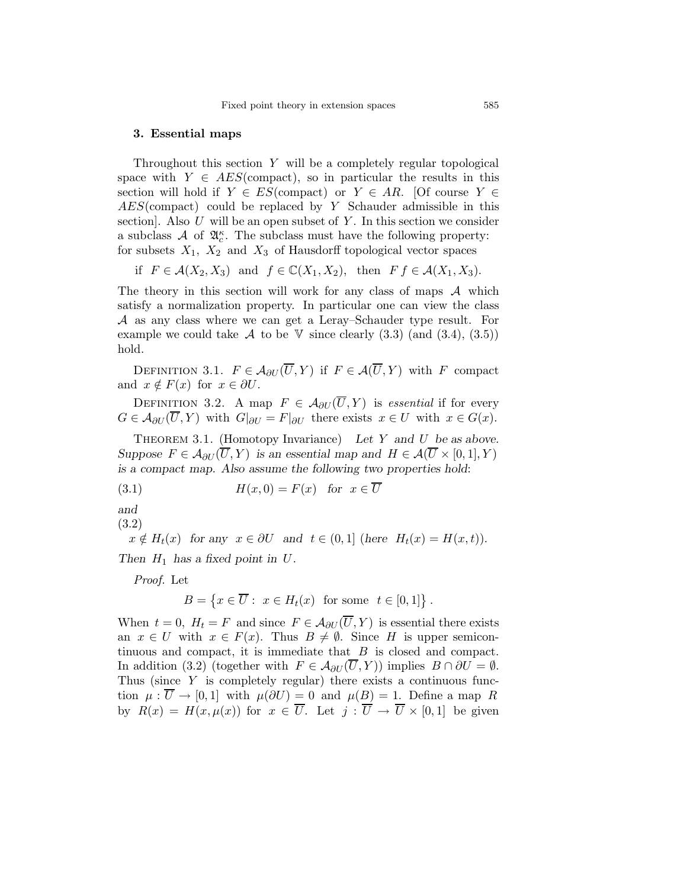#### 3. Essential maps

Throughout this section Y will be a completely regular topological space with  $Y \in AES$ (compact), so in particular the results in this section will hold if  $Y \in ES$ (compact) or  $Y \in AR$ . [Of course  $Y \in$ AES(compact) could be replaced by Y Schauder admissible in this section. Also U will be an open subset of Y. In this section we consider a subclass  $\mathcal A$  of  $\mathfrak A_c^{\kappa}$ . The subclass must have the following property: for subsets  $X_1$ ,  $X_2$  and  $X_3$  of Hausdorff topological vector spaces

if  $F \in \mathcal{A}(X_2, X_3)$  and  $f \in \mathbb{C}(X_1, X_2)$ , then  $F f \in \mathcal{A}(X_1, X_3)$ .

The theory in this section will work for any class of maps  $A$  which satisfy a normalization property. In particular one can view the class A as any class where we can get a Leray–Schauder type result. For example we could take  $\mathcal A$  to be  $\mathbb V$  since clearly (3.3) (and (3.4), (3.5)) hold.

DEFINITION 3.1.  $F \in \mathcal{A}_{\partial U}(\overline{U}, Y)$  if  $F \in \mathcal{A}(\overline{U}, Y)$  with F compact and  $x \notin F(x)$  for  $x \in \partial U$ .

DEFINITION 3.2. A map  $F \in \mathcal{A}_{\partial U}(\overline{U}, Y)$  is essential if for every  $G \in \mathcal{A}_{\partial U}(\overline{U}, Y)$  with  $G|_{\partial U} = F|_{\partial U}$  there exists  $x \in U$  with  $x \in G(x)$ .

THEOREM 3.1. (Homotopy Invariance) Let Y and U be as above. Suppose  $F \in \mathcal{A}_{\partial U}(\overline{U}, Y)$  is an essential map and  $H \in \mathcal{A}(\overline{U} \times [0, 1], Y)$ is a compact map. Also assume the following two properties hold:

(3.1) 
$$
H(x,0) = F(x) \text{ for } x \in \overline{U}
$$

and

(3.2)

 $x \notin H_t(x)$  for any  $x \in \partial U$  and  $t \in (0,1]$  (here  $H_t(x) = H(x,t)$ ). Then  $H_1$  has a fixed point in U.

Proof. Let

$$
B = \left\{ x \in \overline{U} : x \in H_t(x) \text{ for some } t \in [0,1] \right\}.
$$

When  $t = 0$ ,  $H_t = F$  and since  $F \in \mathcal{A}_{\partial U}(\overline{U}, Y)$  is essential there exists an  $x \in U$  with  $x \in F(x)$ . Thus  $B \neq \emptyset$ . Since H is upper semicontinuous and compact, it is immediate that  $B$  is closed and compact. In addition (3.2) (together with  $F \in \mathcal{A}_{\partial U}(\overline{U}, Y)$ ) implies  $B \cap \partial U = \emptyset$ . Thus (since Y is completely regular) there exists a continuous function  $\mu : \overline{U} \to [0,1]$  with  $\mu(\partial U) = 0$  and  $\mu(B) = 1$ . Define a map R by  $R(x) = H(x, \mu(x))$  for  $x \in \overline{U}$ . Let  $j : \overline{U} \to \overline{U} \times [0, 1]$  be given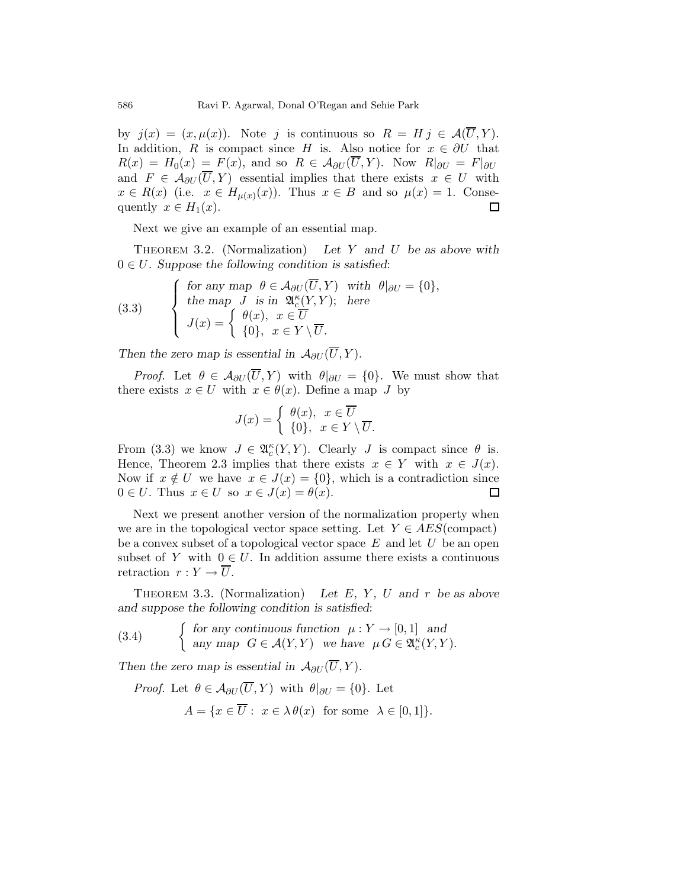by  $j(x) = (x, \mu(x))$ . Note j is continuous so  $R = H j \in \mathcal{A}(\overline{U}, Y)$ . In addition, R is compact since H is. Also notice for  $x \in \partial U$  that  $R(x) = H_0(x) = F(x)$ , and so  $R \in \mathcal{A}_{\partial U}(\overline{U}, Y)$ . Now  $R|_{\partial U} = F|_{\partial U}$ and  $F \in \mathcal{A}_{\partial U}(\overline{U}, Y)$  essential implies that there exists  $x \in U$  with  $x \in R(x)$  (i.e.  $x \in H_{\mu(x)}(x)$ ). Thus  $x \in B$  and so  $\mu(x) = 1$ . Consequently  $x \in H_1(x)$ .  $\Box$ 

Next we give an example of an essential map.

THEOREM 3.2. (Normalization) Let Y and U be as above with  $0 \in U$ . Suppose the following condition is satisfied:

(3.3) 
$$
\begin{cases} \text{for any map } \theta \in \mathcal{A}_{\partial U}(\overline{U}, Y) \text{ with } \theta|_{\partial U} = \{0\}, \\ \text{the map } J \text{ is in } \mathfrak{A}_{c}^{\kappa}(Y, Y); \text{ here} \\ J(x) = \begin{cases} \theta(x), & x \in \overline{U} \\ \{0\}, & x \in Y \setminus \overline{U}. \end{cases} \end{cases}
$$

Then the zero map is essential in  $\mathcal{A}_{\partial U}(\overline{U}, Y)$ .

*Proof.* Let  $\theta \in \mathcal{A}_{\partial U}(\overline{U}, Y)$  with  $\theta|_{\partial U} = \{0\}$ . We must show that there exists  $x \in U$  with  $x \in \theta(x)$ . Define a map J by

$$
J(x) = \begin{cases} \theta(x), & x \in \overline{U} \\ \{0\}, & x \in Y \setminus \overline{U}. \end{cases}
$$

From (3.3) we know  $J \in \mathfrak{A}_{c}^{\kappa}(Y, Y)$ . Clearly J is compact since  $\theta$  is. Hence, Theorem 2.3 implies that there exists  $x \in Y$  with  $x \in J(x)$ . Now if  $x \notin U$  we have  $x \in J(x) = \{0\}$ , which is a contradiction since  $0 \in U$ . Thus  $x \in U$  so  $x \in J(x) = \theta(x)$ .  $\Box$ 

Next we present another version of the normalization property when we are in the topological vector space setting. Let  $Y \in AES$ (compact) be a convex subset of a topological vector space  $E$  and let  $U$  be an open subset of Y with  $0 \in U$ . In addition assume there exists a continuous retraction  $r: Y \to \overline{U}$ .

THEOREM 3.3. (Normalization) Let  $E$ ,  $Y$ ,  $U$  and  $r$  be as above and suppose the following condition is satisfied:

(3.4) { for any continuous function 
$$
\mu : Y \to [0,1]
$$
 and  
any map  $G \in \mathcal{A}(Y,Y)$  we have  $\mu G \in \mathfrak{A}_{c}^{\kappa}(Y,Y)$ .

Then the zero map is essential in  $\mathcal{A}_{\partial U}(\overline{U}, Y)$ .

*Proof.* Let  $\theta \in \mathcal{A}_{\partial U}(\overline{U}, Y)$  with  $\theta|_{\partial U} = \{0\}$ . Let  $A = \{x \in \overline{U} : x \in \lambda \theta(x) \text{ for some } \lambda \in [0,1]\}.$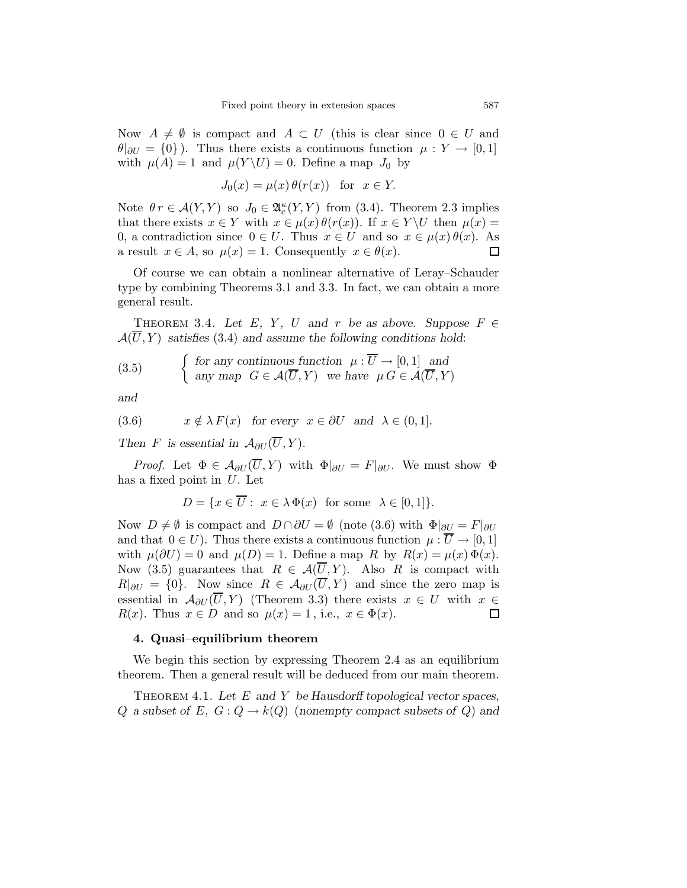Now  $A \neq \emptyset$  is compact and  $A \subset U$  (this is clear since  $0 \in U$  and  $\theta|_{\partial U} = \{0\}$ ). Thus there exists a continuous function  $\mu: Y \to [0,1]$ with  $\mu(A) = 1$  and  $\mu(Y \setminus U) = 0$ . Define a map  $J_0$  by

$$
J_0(x) = \mu(x)\,\theta(r(x)) \quad \text{for} \ \ x \in Y.
$$

Note  $\theta r \in \mathcal{A}(Y, Y)$  so  $J_0 \in \mathfrak{A}_{c}^{\kappa}(Y, Y)$  from (3.4). Theorem 2.3 implies that there exists  $x \in Y$  with  $x \in \mu(x) \theta(r(x))$ . If  $x \in Y \backslash U$  then  $\mu(x) =$ 0, a contradiction since  $0 \in U$ . Thus  $x \in U$  and so  $x \in \mu(x)\theta(x)$ . As a result  $x \in A$ , so  $\mu(x) = 1$ . Consequently  $x \in \theta(x)$ .  $\Box$ 

Of course we can obtain a nonlinear alternative of Leray–Schauder type by combining Theorems 3.1 and 3.3. In fact, we can obtain a more general result.

THEOREM 3.4. Let E, Y, U and r be as above. Suppose  $F \in$  $\mathcal{A}(U, Y)$  satisfies (3.4) and assume the following conditions hold:

(3.5) 
$$
\begin{cases} \text{for any continuous function } \mu : \overline{U} \to [0,1] \text{ and} \\ \text{any map } G \in \mathcal{A}(\overline{U}, Y) \text{ we have } \mu G \in \mathcal{A}(\overline{U}, Y) \end{cases}
$$

and

(3.6) 
$$
x \notin \lambda F(x)
$$
 for every  $x \in \partial U$  and  $\lambda \in (0,1]$ .

Then F is essential in  $\mathcal{A}_{\partial U}(\overline{U}, Y)$ .

*Proof.* Let  $\Phi \in \mathcal{A}_{\partial U}(\overline{U}, Y)$  with  $\Phi|_{\partial U} = F|_{\partial U}$ . We must show  $\Phi$ has a fixed point in  $U$ . Let

$$
D = \{ x \in \overline{U} : x \in \lambda \Phi(x) \text{ for some } \lambda \in [0,1] \}.
$$

Now  $D \neq \emptyset$  is compact and  $D \cap \partial U = \emptyset$  (note (3.6) with  $\Phi|_{\partial U} = F|_{\partial U}$ and that  $0 \in U$ ). Thus there exists a continuous function  $\mu : \overline{U} \to [0,1]$ with  $\mu(\partial U) = 0$  and  $\mu(D) = 1$ . Define a map R by  $R(x) = \mu(x) \Phi(x)$ . Now (3.5) guarantees that  $R \in \mathcal{A}(\overline{U}, Y)$ . Also R is compact with  $R|_{\partial U} = \{0\}$ . Now since  $R \in \mathcal{A}_{\partial U}(\overline{U}, Y)$  and since the zero map is essential in  $\mathcal{A}_{\partial U}(\overline{U}, Y)$  (Theorem 3.3) there exists  $x \in U$  with  $x \in$  $R(x)$ . Thus  $x \in D$  and so  $\mu(x) = 1$ , i.e.,  $x \in \Phi(x)$ .  $\Box$ 

#### 4. Quasi–equilibrium theorem

We begin this section by expressing Theorem 2.4 as an equilibrium theorem. Then a general result will be deduced from our main theorem.

THEOREM 4.1. Let  $E$  and  $Y$  be Hausdorff topological vector spaces, Q a subset of E,  $G: Q \to k(Q)$  (nonempty compact subsets of Q) and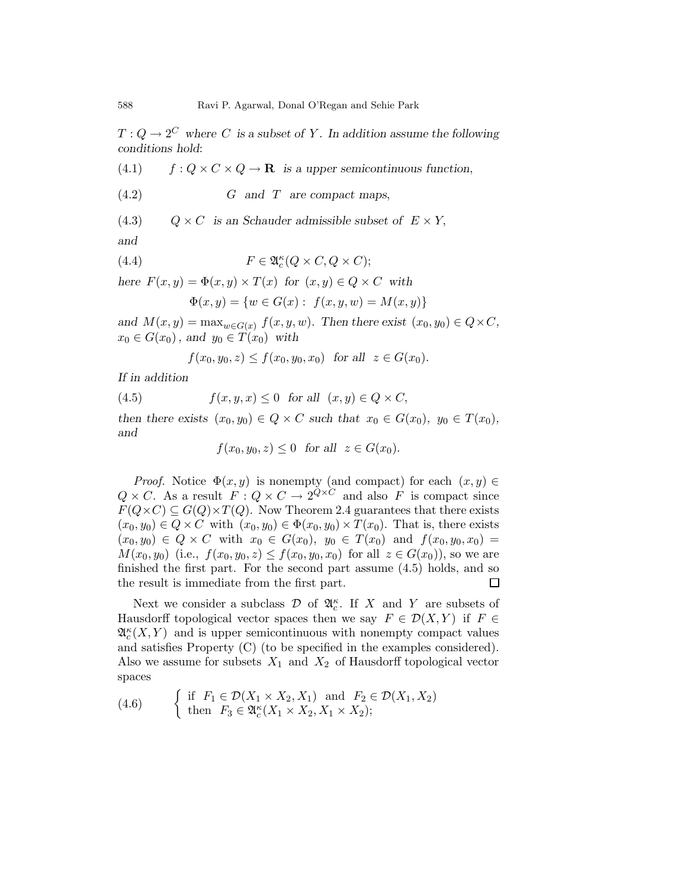$T: Q \to 2^C$  where C is a subset of Y. In addition assume the following conditions hold:

(4.1)  $f : Q \times C \times Q \rightarrow \mathbf{R}$  is a upper semicontinuous function,

$$
(4.2) \t\t G \t and \t T \t are compact maps,
$$

(4.3)  $Q \times C$  is an Schauder admissible subset of  $E \times Y$ ,

and

(4.4) 
$$
F \in \mathfrak{A}_c^{\kappa}(Q \times C, Q \times C);
$$

here  $F(x, y) = \Phi(x, y) \times T(x)$  for  $(x, y) \in Q \times C$  with

$$
\Phi(x, y) = \{ w \in G(x) : f(x, y, w) = M(x, y) \}
$$

and  $M(x, y) = \max_{w \in G(x)} f(x, y, w)$ . Then there exist  $(x_0, y_0) \in Q \times C$ ,  $x_0 \in G(x_0)$ , and  $y_0 \in T(x_0)$  with

 $f(x_0, y_0, z) \le f(x_0, y_0, x_0)$  for all  $z \in G(x_0)$ .

If in addition

(4.5)  $f(x, y, x) \leq 0$  for all  $(x, y) \in Q \times C$ ,

then there exists  $(x_0, y_0) \in Q \times C$  such that  $x_0 \in G(x_0)$ ,  $y_0 \in T(x_0)$ , and

$$
f(x_0, y_0, z) \le 0 \quad \text{for all} \quad z \in G(x_0).
$$

*Proof.* Notice  $\Phi(x, y)$  is nonempty (and compact) for each  $(x, y) \in$  $Q \times C$ . As a result  $F: Q \times C \to 2^{\overline{Q} \times C}$  and also F is compact since  $F(Q \times C) \subseteq G(Q) \times T(Q)$ . Now Theorem 2.4 guarantees that there exists  $(x_0, y_0) \in Q \times C$  with  $(x_0, y_0) \in \Phi(x_0, y_0) \times T(x_0)$ . That is, there exists  $(x_0, y_0) \in Q \times C$  with  $x_0 \in G(x_0)$ ,  $y_0 \in T(x_0)$  and  $f(x_0, y_0, x_0) =$  $M(x_0, y_0)$  (i.e.,  $f(x_0, y_0, z) \le f(x_0, y_0, x_0)$  for all  $z \in G(x_0)$ ), so we are finished the first part. For the second part assume (4.5) holds, and so the result is immediate from the first part.  $\Box$ 

Next we consider a subclass  $\mathcal D$  of  $\mathfrak{A}_c^{\kappa}$ . If X and Y are subsets of Hausdorff topological vector spaces then we say  $F \in \mathcal{D}(X, Y)$  if  $F \in$  $\mathfrak{A}_{c}^{\kappa}(X,Y)$  and is upper semicontinuous with nonempty compact values and satisfies Property (C) (to be specified in the examples considered). Also we assume for subsets  $X_1$  and  $X_2$  of Hausdorff topological vector spaces

(4.6) 
$$
\begin{cases} \text{if } F_1 \in \mathcal{D}(X_1 \times X_2, X_1) \text{ and } F_2 \in \mathcal{D}(X_1, X_2) \\ \text{then } F_3 \in \mathfrak{A}_c^{\kappa}(X_1 \times X_2, X_1 \times X_2); \end{cases}
$$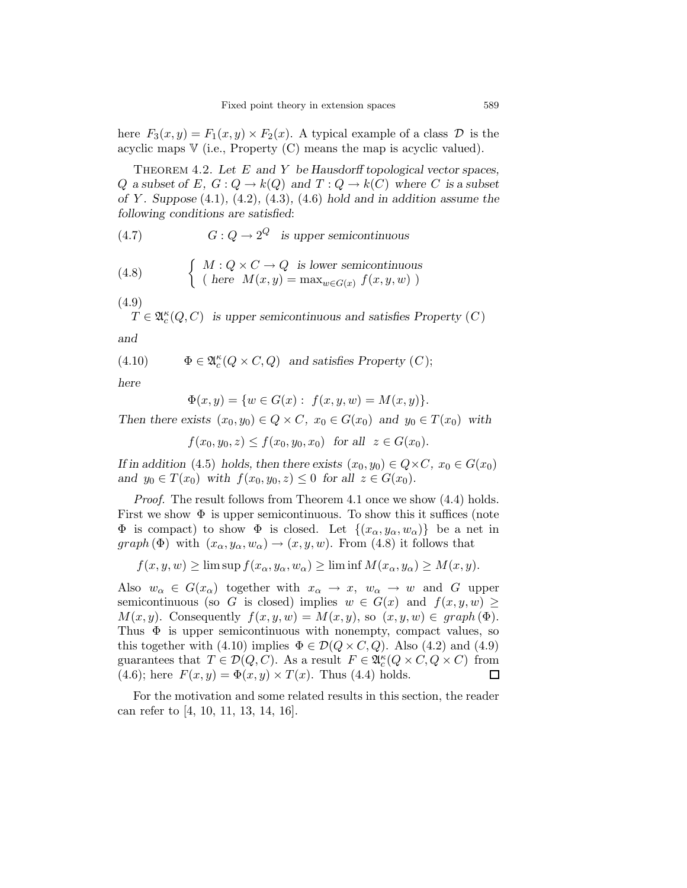here  $F_3(x, y) = F_1(x, y) \times F_2(x)$ . A typical example of a class  $\mathcal D$  is the acyclic maps  $V$  (i.e., Property (C) means the map is acyclic valued).

THEOREM 4.2. Let  $E$  and  $Y$  be Hausdorff topological vector spaces, Q a subset of E,  $G: Q \to k(Q)$  and  $T: Q \to k(C)$  where C is a subset of Y. Suppose  $(4.1)$ ,  $(4.2)$ ,  $(4.3)$ ,  $(4.6)$  hold and in addition assume the following conditions are satisfied:

(4.7) 
$$
G: Q \to 2^Q \text{ is upper semicontinuous}
$$

(4.8) 
$$
\begin{cases} M: Q \times C \to Q \text{ is lower semicontinuous} \\ (\text{here } M(x, y) = \max_{w \in G(x)} f(x, y, w)) \end{cases}
$$

(4.9)

 $T \in \mathfrak{A}^{\kappa}_{c}(Q, C)$  is upper semicontinuous and satisfies Property  $(C)$ and

(4.10) 
$$
\Phi \in \mathfrak{A}^{\kappa}_{c}(Q \times C, Q) \text{ and satisfies Property } (C);
$$

here

$$
\Phi(x, y) = \{ w \in G(x) : f(x, y, w) = M(x, y) \}.
$$

Then there exists  $(x_0, y_0) \in Q \times C$ ,  $x_0 \in G(x_0)$  and  $y_0 \in T(x_0)$  with

 $f(x_0, y_0, z) \le f(x_0, y_0, x_0)$  for all  $z \in G(x_0)$ .

If in addition (4.5) holds, then there exists  $(x_0, y_0) \in Q \times C$ ,  $x_0 \in G(x_0)$ and  $y_0 \in T(x_0)$  with  $f(x_0, y_0, z) \leq 0$  for all  $z \in G(x_0)$ .

Proof. The result follows from Theorem 4.1 once we show (4.4) holds. First we show  $\Phi$  is upper semicontinuous. To show this it suffices (note  $\Phi$  is compact) to show  $\Phi$  is closed. Let  $\{(x_{\alpha}, y_{\alpha}, w_{\alpha})\}$  be a net in  $graph (\Phi)$  with  $(x_{\alpha}, y_{\alpha}, w_{\alpha}) \rightarrow (x, y, w)$ . From (4.8) it follows that

$$
f(x, y, w) \ge \limsup f(x_{\alpha}, y_{\alpha}, w_{\alpha}) \ge \liminf M(x_{\alpha}, y_{\alpha}) \ge M(x, y).
$$

Also  $w_{\alpha} \in G(x_{\alpha})$  together with  $x_{\alpha} \to x$ ,  $w_{\alpha} \to w$  and G upper semicontinuous (so G is closed) implies  $w \in G(x)$  and  $f(x, y, w) \geq$  $M(x, y)$ . Consequently  $f(x, y, w) = M(x, y)$ , so  $(x, y, w) \in graph(\Phi)$ . Thus  $\Phi$  is upper semicontinuous with nonempty, compact values, so this together with (4.10) implies  $\Phi \in \mathcal{D}(Q \times C, Q)$ . Also (4.2) and (4.9) guarantees that  $T \in \mathcal{D}(Q, C)$ . As a result  $F \in \mathfrak{A}_{c}^{\kappa}(Q \times C, Q \times C)$  from (4.6); here  $F(x, y) = \Phi(x, y) \times T(x)$ . Thus (4.4) holds.  $\Box$ 

For the motivation and some related results in this section, the reader can refer to [4, 10, 11, 13, 14, 16].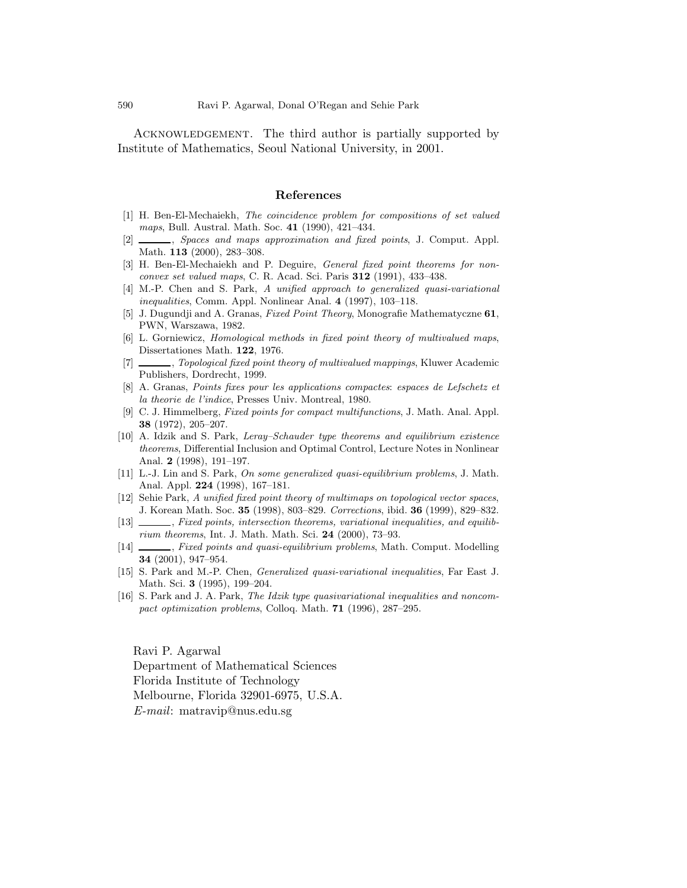ACKNOWLEDGEMENT. The third author is partially supported by Institute of Mathematics, Seoul National University, in 2001.

#### References

- [1] H. Ben-El-Mechaiekh, The coincidence problem for compositions of set valued maps, Bull. Austral. Math. Soc. 41 (1990), 421–434.
- [2]  $\_\_\_\_\_\$  Spaces and maps approximation and fixed points, J. Comput. Appl. Math. 113 (2000), 283–308.
- [3] H. Ben-El-Mechaiekh and P. Deguire, *General fixed point theorems for non*convex set valued maps, C. R. Acad. Sci. Paris 312 (1991), 433–438.
- [4] M.-P. Chen and S. Park, A unified approach to generalized quasi-variational inequalities, Comm. Appl. Nonlinear Anal. 4 (1997), 103–118.
- [5] J. Dugundji and A. Granas, Fixed Point Theory, Monografie Mathematyczne 61, PWN, Warszawa, 1982.
- [6] L. Gorniewicz, Homological methods in fixed point theory of multivalued maps, Dissertationes Math. 122, 1976.
- [7] , Topological fixed point theory of multivalued mappings, Kluwer Academic Publishers, Dordrecht, 1999.
- [8] A. Granas, Points fixes pour les applications compactes: espaces de Lefschetz et la theorie de l'indice, Presses Univ. Montreal, 1980.
- [9] C. J. Himmelberg, Fixed points for compact multifunctions, J. Math. Anal. Appl. 38 (1972), 205–207.
- [10] A. Idzik and S. Park, Leray–Schauder type theorems and equilibrium existence theorems, Differential Inclusion and Optimal Control, Lecture Notes in Nonlinear Anal. 2 (1998), 191–197.
- [11] L.-J. Lin and S. Park, On some generalized quasi-equilibrium problems, J. Math. Anal. Appl. 224 (1998), 167–181.
- [12] Sehie Park, A unified fixed point theory of multimaps on topological vector spaces, J. Korean Math. Soc. 35 (1998), 803–829. Corrections, ibid. 36 (1999), 829–832.
- [13]  $\_\_\_\_\$ , Fixed points, intersection theorems, variational inequalities, and equilibrium theorems, Int. J. Math. Math. Sci. 24 (2000), 73–93.
- [14]  $\_\_\_\_\$ , Fixed points and quasi-equilibrium problems, Math. Comput. Modelling 34 (2001), 947–954.
- [15] S. Park and M.-P. Chen, Generalized quasi-variational inequalities, Far East J. Math. Sci. 3 (1995), 199–204.
- [16] S. Park and J. A. Park, The Idzik type quasivariational inequalities and noncompact optimization problems, Colloq. Math. 71 (1996), 287–295.

Ravi P. Agarwal Department of Mathematical Sciences Florida Institute of Technology Melbourne, Florida 32901-6975, U.S.A. E-mail: matravip@nus.edu.sg